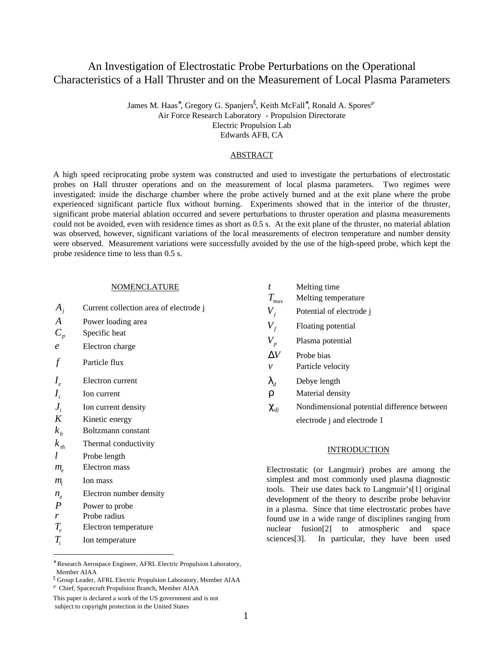# An Investigation of Electrostatic Probe Perturbations on the Operational Characteristics of a Hall Thruster and on the Measurement of Local Plasma Parameters

James M. Haas<sup>\*</sup>, Gregory G. Spanjers<sup>5</sup>, Keith McFall<sup>\*</sup>, Ronald A. Spores<sup>®</sup> Air Force Research Laboratory - Propulsion Directorate Electric Propulsion Lab Edwards AFB, CA

# ABSTRACT

A high speed reciprocating probe system was constructed and used to investigate the perturbations of electrostatic probes on Hall thruster operations and on the measurement of local plasma parameters. Two regimes were investigated: inside the discharge chamber where the probe actively burned and at the exit plane where the probe experienced significant particle flux without burning. Experiments showed that in the interior of the thruster, significant probe material ablation occurred and severe perturbations to thruster operation and plasma measurements could not be avoided, even with residence times as short as 0.5 s. At the exit plane of the thruster, no material ablation was observed, however, significant variations of the local measurements of electron temperature and number density were observed. Measurement variations were successfully avoided by the use of the high-speed probe, which kept the probe residence time to less than 0.5 s.

*t* Melting time

#### NOMENCLATURE

- *A<sup>j</sup>* Current collection area of electrode j *A* Power loading area  $C_p$ Specific heat *e* Electron charge *f* Particle flux *I e* Electron current *I i* Ion current  $J_i$ Ion current density *K* Kinetic energy  $k_h$  **b** Boltzmann constant  $k_{th}$  Thermal conductivity *l* Probe length Electron mass *T*<sub>max</sub> Melting temperature  $V_{i}$ Potential of electrode j  $V_f^-$ Floating potential  $V_p$ Plasma potential Δ*V* Probe bias *v* Particle velocity  $\mathbf{l}_d$  Debye length *r* Material density  $c_{di}$  Nondimensional potential difference between electrode j and electrode 1 INTRODUCTION
	- Electrostatic (or Langmuir) probes are among the simplest and most commonly used plasma diagnostic tools. Their use dates back to Langmuir's[1] original development of the theory to describe probe behavior in a plasma. Since that time electrostatic probes have found use in a wide range of disciplines ranging from nuclear fusion[2] to atmospheric and space sciences[3]. In particular, they have been used

Electron number density

Electron temperature

Ion temperature

-

 $m_e$ 

*mi*

 $n<sub>e</sub>$ 

 $T_e$ 

*Ti*

Ion mass

*P* Power to probe *r* Probe radius

<sup>∗</sup> Research Aerospace Engineer, AFRL Electric Propulsion Laboratory, Member AIAA

ξ Group Leader, AFRL Electric Propulsion Laboratory, Member AIAA <sup>℘</sup> Chief, Spacecraft Propulsion Branch, Member AIAA

This paper is declared a work of the US government and is not subject to copyright protection in the United States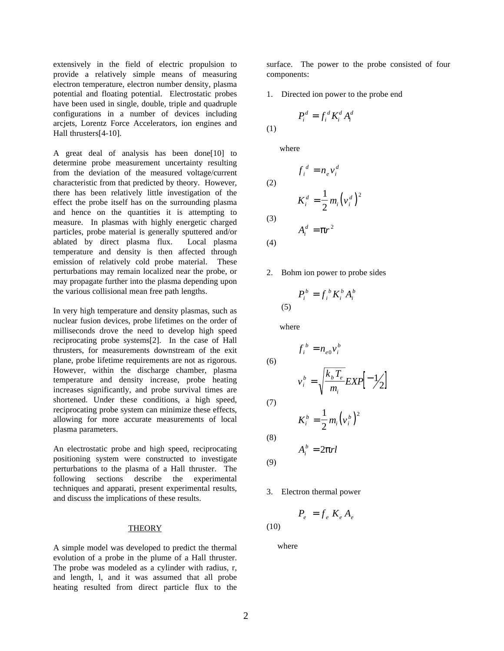extensively in the field of electric propulsion to provide a relatively simple means of measuring electron temperature, electron number density, plasma potential and floating potential. Electrostatic probes have been used in single, double, triple and quadruple configurations in a number of devices including arcjets, Lorentz Force Accelerators, ion engines and Hall thrusters[4-10].

A great deal of analysis has been done[10] to determine probe measurement uncertainty resulting from the deviation of the measured voltage/current characteristic from that predicted by theory. However, there has been relatively little investigation of the effect the probe itself has on the surrounding plasma and hence on the quantities it is attempting to measure. In plasmas with highly energetic charged particles, probe material is generally sputtered and/or ablated by direct plasma flux. Local plasma temperature and density is then affected through emission of relatively cold probe material. These perturbations may remain localized near the probe, or may propagate further into the plasma depending upon the various collisional mean free path lengths.

In very high temperature and density plasmas, such as nuclear fusion devices, probe lifetimes on the order of milliseconds drove the need to develop high speed reciprocating probe systems[2]. In the case of Hall thrusters, for measurements downstream of the exit plane, probe lifetime requirements are not as rigorous. However, within the discharge chamber, plasma temperature and density increase, probe heating increases significantly, and probe survival times are shortened. Under these conditions, a high speed, reciprocating probe system can minimize these effects, allowing for more accurate measurements of local plasma parameters.

An electrostatic probe and high speed, reciprocating positioning system were constructed to investigate perturbations to the plasma of a Hall thruster. The following sections describe the experimental techniques and apparati, present experimental results, and discuss the implications of these results.

# **THEORY**

A simple model was developed to predict the thermal evolution of a probe in the plume of a Hall thruster. The probe was modeled as a cylinder with radius, r, and length, l, and it was assumed that all probe heating resulted from direct particle flux to the surface. The power to the probe consisted of four components:

1. Directed ion power to the probe end

$$
P_i^d = f_i^d K_i^d A_i^d
$$

where

(1)

(2)  
\n
$$
f_i^d = n_e v_i^d
$$
\n
$$
K_i^d = \frac{1}{2} m_i (v_i^d)^2
$$
\n(3)  
\n
$$
A_i^d = \mathbf{p} r^2
$$

(4)

2. Bohm ion power to probe sides

$$
P_i^b = f_i^b K_i^b A_i^b
$$
\n(5)

where

(6)  

$$
f_i^b = n_{e0} v_i^b
$$

$$
v_i^b = \sqrt{\frac{k_b T_e}{m_i}} EXP\left[-\frac{1}{2}\right]
$$

*i*

2

 $K_i^b = \frac{1}{2} m_i \left(v_i^b\right)^2$ *i i*  $=\frac{1}{2}m_i(v_i^b)$ 1

2

(7)

2 (8)  $A_i^b = 2$ *prl* (9)

3. Electron thermal power

$$
P_e = f_e K_e A_e
$$
10)

where

 $($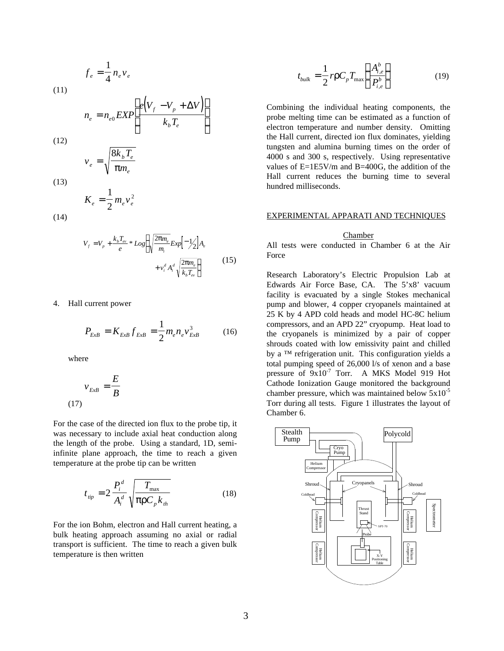$$
f_e = \frac{1}{4} n_e v_e
$$

(11)

$$
n_e = n_{e0} EXP \left[ \frac{e(V_f - V_p + \Delta V)}{k_b T_e} \right]
$$

(12)

$$
v_e = \sqrt{\frac{8k_b T_e}{\boldsymbol{p}m_e}}
$$

(13)

$$
K_e = \frac{1}{2} m_e v_e^2
$$

(14)

$$
V_f = V_p + \frac{k_b T_{ev}}{e} * Log \left( \sqrt{\frac{2 \mathbf{p} m_e}{m_i}} Exp \left[ -\frac{1}{2} \right] A_e + v_i^d A_i^d \sqrt{\frac{2 \mathbf{p} m_e}{k_b T_{ev}}} \right)
$$
(15)

4. Hall current power

$$
P_{ExB} = K_{ExB} f_{ExB} = \frac{1}{2} m_e n_e v_{ExB}^3 \tag{16}
$$

where

$$
v_{ExB} =
$$
\n(17)

*E B*

For the case of the directed ion flux to the probe tip, it was necessary to include axial heat conduction along the length of the probe. Using a standard, 1D, semiinfinite plane approach, the time to reach a given temperature at the probe tip can be written

$$
t_{\text{tip}} = 2 \frac{P_i^d}{A_i^d} \sqrt{\frac{T_{\text{max}}}{\text{prC}_p k_{\text{th}}}}
$$
(18)

For the ion Bohm, electron and Hall current heating, a bulk heating approach assuming no axial or radial transport is sufficient. The time to reach a given bulk temperature is then written

$$
t_{bulk} = \frac{1}{2} r \mathbf{r} C_p T_{\text{max}} \left( \frac{A_{i,e}^b}{P_{i,e}^b} \right) \tag{19}
$$

Combining the individual heating components, the probe melting time can be estimated as a function of electron temperature and number density. Omitting the Hall current, directed ion flux dominates, yielding tungsten and alumina burning times on the order of 4000 s and 300 s, respectively. Using representative values of E=1E5V/m and B=400G, the addition of the Hall current reduces the burning time to several hundred milliseconds.

## EXPERIMENTAL APPARATI AND TECHNIQUES

#### Chamber

All tests were conducted in Chamber 6 at the Air Force

Research Laboratory's Electric Propulsion Lab at Edwards Air Force Base, CA. The 5'x8' vacuum facility is evacuated by a single Stokes mechanical pump and blower, 4 copper cryopanels maintained at 25 K by 4 APD cold heads and model HC-8C helium compressors, and an APD 22" cryopump. Heat load to the cryopanels is minimized by a pair of copper shrouds coated with low emissivity paint and chilled by a ™ refrigeration unit. This configuration yields a total pumping speed of 26,000 l/s of xenon and a base pressure of  $9x10^{-7}$  Torr. A MKS Model 919 Hot Cathode Ionization Gauge monitored the background chamber pressure, which was maintained below  $5x10^{-5}$ Torr during all tests. Figure 1 illustrates the layout of Chamber 6.

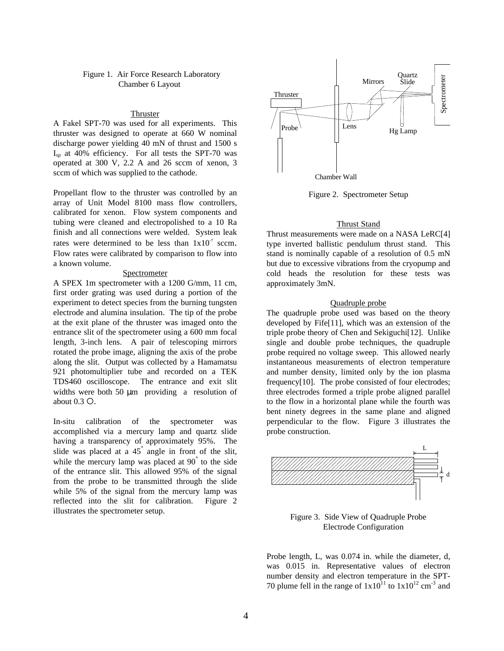# Figure 1. Air Force Research Laboratory Chamber 6 Layout

## Thruster

A Fakel SPT-70 was used for all experiments. This thruster was designed to operate at 660 W nominal discharge power yielding 40 mN of thrust and 1500 s Isp at 40% efficiency. For all tests the SPT-70 was operated at 300 V, 2.2 A and 26 sccm of xenon, 3 sccm of which was supplied to the cathode.

Propellant flow to the thruster was controlled by an array of Unit Model 8100 mass flow controllers, calibrated for xenon. Flow system components and tubing were cleaned and electropolished to a 10 Ra finish and all connections were welded. System leak rates were determined to be less than  $1x10<sup>-7</sup>$  sccm. Flow rates were calibrated by comparison to flow into a known volume.

#### Spectrometer

A SPEX 1m spectrometer with a 1200 G/mm, 11 cm, first order grating was used during a portion of the experiment to detect species from the burning tungsten electrode and alumina insulation. The tip of the probe at the exit plane of the thruster was imaged onto the entrance slit of the spectrometer using a 600 mm focal length, 3-inch lens. A pair of telescoping mirrors rotated the probe image, aligning the axis of the probe along the slit. Output was collected by a Hamamatsu 921 photomultiplier tube and recorded on a TEK TDS460 oscilloscope. The entrance and exit slit widths were both 50 μm providing a resolution of about  $0.3 \circ$ .

In-situ calibration of the spectrometer was accomplished via a mercury lamp and quartz slide having a transparency of approximately 95%. The slide was placed at a  $45^\circ$  angle in front of the slit, while the mercury lamp was placed at 90<sup>°</sup> to the side of the entrance slit. This allowed 95% of the signal from the probe to be transmitted through the slide while 5% of the signal from the mercury lamp was reflected into the slit for calibration. Figure 2 illustrates the spectrometer setup.



Figure 2. Spectrometer Setup

## Thrust Stand

Thrust measurements were made on a NASA LeRC[4] type inverted ballistic pendulum thrust stand. This stand is nominally capable of a resolution of 0.5 mN but due to excessive vibrations from the cryopump and cold heads the resolution for these tests was approximately 3mN.

## Quadruple probe

The quadruple probe used was based on the theory developed by Fife[11], which was an extension of the triple probe theory of Chen and Sekiguchi[12]. Unlike single and double probe techniques, the quadruple probe required no voltage sweep. This allowed nearly instantaneous measurements of electron temperature and number density, limited only by the ion plasma frequency[10]. The probe consisted of four electrodes; three electrodes formed a triple probe aligned parallel to the flow in a horizontal plane while the fourth was bent ninety degrees in the same plane and aligned perpendicular to the flow. Figure 3 illustrates the probe construction.



Figure 3. Side View of Quadruple Probe Electrode Configuration

Probe length, L, was 0.074 in. while the diameter, d, was 0.015 in. Representative values of electron number density and electron temperature in the SPT-70 plume fell in the range of  $1x10^{11}$  to  $1x10^{12}$  cm<sup>-3</sup> and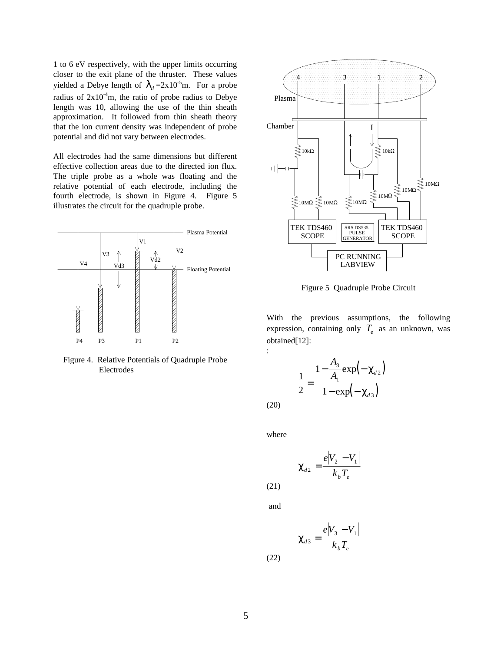1 to 6 eV respectively, with the upper limits occurring closer to the exit plane of the thruster. These values yielded a Debye length of  $\int_{d}$  =2x10<sup>-5</sup>m. For a probe radius of  $2x10^{4}$ m, the ratio of probe radius to Debye length was 10, allowing the use of the thin sheath approximation. It followed from thin sheath theory that the ion current density was independent of probe potential and did not vary between electrodes.

All electrodes had the same dimensions but different effective collection areas due to the directed ion flux. The triple probe as a whole was floating and the relative potential of each electrode, including the fourth electrode, is shown in Figure 4. Figure 5 illustrates the circuit for the quadruple probe.



Figure 4. Relative Potentials of Quadruple Probe Electrodes



Figure 5 Quadruple Probe Circuit

With the previous assumptions, the following expression, containing only  $T_e$  as an unknown, was obtained[12]:

$$
\frac{1}{2} = \frac{1 - \frac{A_3}{A_1} \exp(-c_{d2})}{1 - \exp(-c_{d3})}
$$

(20)

:

where

$$
\mathbf{C}_{d2} = \frac{e|V_2 - V_1|}{k_b T_e}
$$

(21)

and

$$
\mathbf{c}_{d3} = \frac{e|V_3 - V_1|}{k_b T_e}
$$

(22)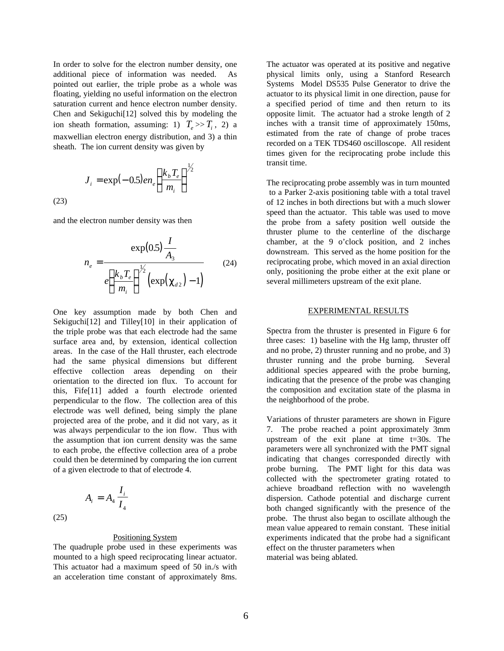In order to solve for the electron number density, one additional piece of information was needed. As pointed out earlier, the triple probe as a whole was floating, yielding no useful information on the electron saturation current and hence electron number density. Chen and Sekiguchi[12] solved this by modeling the ion sheath formation, assuming: 1)  $T_e \gg T_i$ , 2) a maxwellian electron energy distribution, and 3) a thin sheath. The ion current density was given by

(23) 
$$
J_{i} = \exp(-0.5) e n_{e} \left(\frac{k_{b} T_{e}}{m_{i}}\right)^{\frac{1}{2}}
$$

and the electron number density was then

$$
n_e = \frac{\exp(0.5) \frac{I}{A_3}}{e\left(\frac{k_b T_e}{m_i}\right)^{\frac{1}{2}} \left(\exp(c_{d2}) - 1\right)}
$$
(24)

One key assumption made by both Chen and Sekiguchi<sup>[12]</sup> and Tilley<sup>[10]</sup> in their application of the triple probe was that each electrode had the same surface area and, by extension, identical collection areas. In the case of the Hall thruster, each electrode had the same physical dimensions but different effective collection areas depending on their orientation to the directed ion flux. To account for this, Fife[11] added a fourth electrode oriented perpendicular to the flow. The collection area of this electrode was well defined, being simply the plane projected area of the probe, and it did not vary, as it was always perpendicular to the ion flow. Thus with the assumption that ion current density was the same to each probe, the effective collection area of a probe could then be determined by comparing the ion current of a given electrode to that of electrode 4.

$$
A_i = A_4 \frac{I_i}{I_4}
$$

(25)

# Positioning System

The quadruple probe used in these experiments was mounted to a high speed reciprocating linear actuator. This actuator had a maximum speed of 50 in./s with an acceleration time constant of approximately 8ms. The actuator was operated at its positive and negative physical limits only, using a Stanford Research Systems Model DS535 Pulse Generator to drive the actuator to its physical limit in one direction, pause for a specified period of time and then return to its opposite limit. The actuator had a stroke length of 2 inches with a transit time of approximately 150ms, estimated from the rate of change of probe traces recorded on a TEK TDS460 oscilloscope. All resident times given for the reciprocating probe include this transit time.

The reciprocating probe assembly was in turn mounted to a Parker 2-axis positioning table with a total travel of 12 inches in both directions but with a much slower speed than the actuator. This table was used to move the probe from a safety position well outside the thruster plume to the centerline of the discharge chamber, at the 9 o'clock position, and 2 inches downstream. This served as the home position for the reciprocating probe, which moved in an axial direction only, positioning the probe either at the exit plane or several millimeters upstream of the exit plane.

# EXPERIMENTAL RESULTS

Spectra from the thruster is presented in Figure 6 for three cases: 1) baseline with the Hg lamp, thruster off and no probe, 2) thruster running and no probe, and 3) thruster running and the probe burning. Several additional species appeared with the probe burning, indicating that the presence of the probe was changing the composition and excitation state of the plasma in the neighborhood of the probe.

Variations of thruster parameters are shown in Figure 7. The probe reached a point approximately 3mm upstream of the exit plane at time t=30s. The parameters were all synchronized with the PMT signal indicating that changes corresponded directly with probe burning. The PMT light for this data was collected with the spectrometer grating rotated to achieve broadband reflection with no wavelength dispersion. Cathode potential and discharge current both changed significantly with the presence of the probe. The thrust also began to oscillate although the mean value appeared to remain constant. These initial experiments indicated that the probe had a significant effect on the thruster parameters when material was being ablated.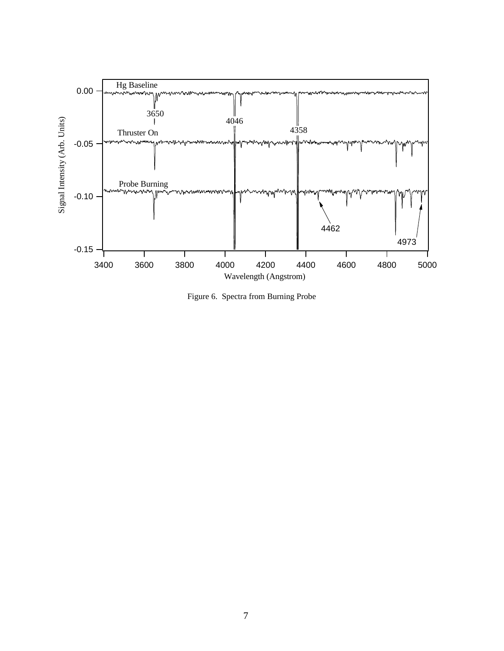

Figure 6. Spectra from Burning Probe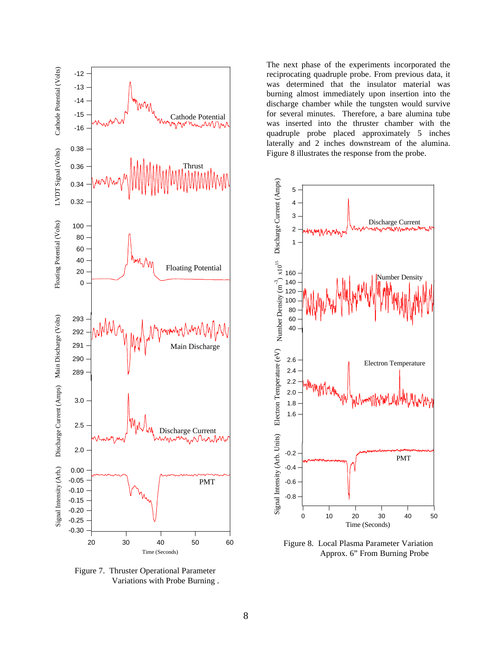

Figure 7. Thruster Operational Parameter Variations with Probe Burning .

The next phase of the experiments incorporated the reciprocating quadruple probe. From previous data, it was determined that the insulator material was burning almost immediately upon insertion into the discharge chamber while the tungsten would survive for several minutes. Therefore, a bare alumina tube was inserted into the thruster chamber with the quadruple probe placed approximately 5 inches laterally and 2 inches downstream of the alumina. Figure 8 illustrates the response from the probe.



Figure 8. Local Plasma Parameter Variation Approx. 6" From Burning Probe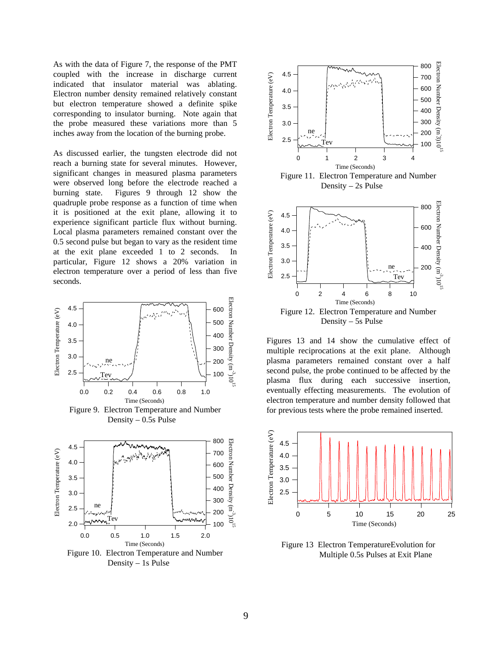As with the data of Figure 7, the response of the PMT coupled with the increase in discharge current indicated that insulator material was ablating. Electron number density remained relatively constant but electron temperature showed a definite spike corresponding to insulator burning. Note again that the probe measured these variations more than 5 inches away from the location of the burning probe.

As discussed earlier, the tungsten electrode did not reach a burning state for several minutes. However, significant changes in measured plasma parameters were observed long before the electrode reached a burning state. Figures 9 through 12 show the quadruple probe response as a function of time when it is positioned at the exit plane, allowing it to experience significant particle flux without burning. Local plasma parameters remained constant over the 0.5 second pulse but began to vary as the resident time at the exit plane exceeded 1 to 2 seconds. In particular, Figure 12 shows a 20% variation in electron temperature over a period of less than five seconds.



Figure 9. Electron Temperature and Number Density – 0.5s Pulse



Figure 10. Electron Temperature and Number Density – 1s Pulse



Figures 13 and 14 show the cumulative effect of multiple reciprocations at the exit plane. Although plasma parameters remained constant over a half second pulse, the probe continued to be affected by the plasma flux during each successive insertion, eventually effecting measurements. The evolution of electron temperature and number density followed that for previous tests where the probe remained inserted.



Figure 13 Electron TemperatureEvolution for Multiple 0.5s Pulses at Exit Plane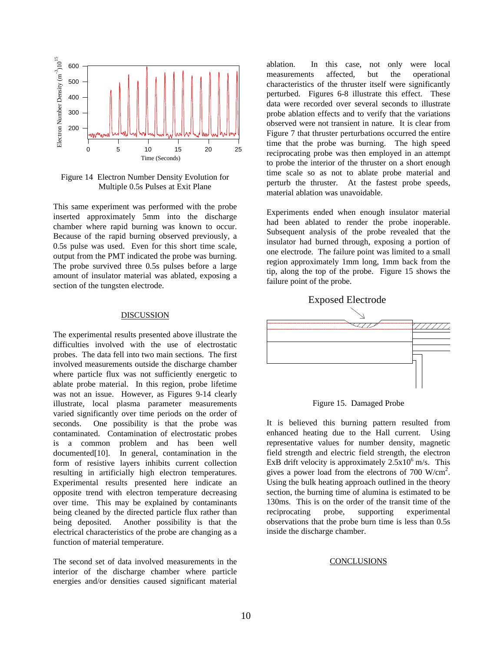

Figure 14 Electron Number Density Evolution for Multiple 0.5s Pulses at Exit Plane

This same experiment was performed with the probe inserted approximately 5mm into the discharge chamber where rapid burning was known to occur. Because of the rapid burning observed previously, a 0.5s pulse was used. Even for this short time scale, output from the PMT indicated the probe was burning. The probe survived three 0.5s pulses before a large amount of insulator material was ablated, exposing a section of the tungsten electrode.

#### DISCUSSION

The experimental results presented above illustrate the difficulties involved with the use of electrostatic probes. The data fell into two main sections. The first involved measurements outside the discharge chamber where particle flux was not sufficiently energetic to ablate probe material. In this region, probe lifetime was not an issue. However, as Figures 9-14 clearly illustrate, local plasma parameter measurements varied significantly over time periods on the order of seconds. One possibility is that the probe was contaminated. Contamination of electrostatic probes is a common problem and has been well documented[10]. In general, contamination in the form of resistive layers inhibits current collection resulting in artificially high electron temperatures. Experimental results presented here indicate an opposite trend with electron temperature decreasing over time. This may be explained by contaminants being cleaned by the directed particle flux rather than being deposited. Another possibility is that the electrical characteristics of the probe are changing as a function of material temperature.

The second set of data involved measurements in the interior of the discharge chamber where particle energies and/or densities caused significant material ablation. In this case, not only were local measurements affected, but the operational characteristics of the thruster itself were significantly perturbed. Figures 6-8 illustrate this effect. These data were recorded over several seconds to illustrate probe ablation effects and to verify that the variations observed were not transient in nature. It is clear from Figure 7 that thruster perturbations occurred the entire time that the probe was burning. The high speed reciprocating probe was then employed in an attempt to probe the interior of the thruster on a short enough time scale so as not to ablate probe material and perturb the thruster. At the fastest probe speeds, material ablation was unavoidable.

Experiments ended when enough insulator material had been ablated to render the probe inoperable. Subsequent analysis of the probe revealed that the insulator had burned through, exposing a portion of one electrode. The failure point was limited to a small region approximately 1mm long, 1mm back from the tip, along the top of the probe. Figure 15 shows the failure point of the probe.



Figure 15. Damaged Probe

It is believed this burning pattern resulted from enhanced heating due to the Hall current. Using representative values for number density, magnetic field strength and electric field strength, the electron ExB drift velocity is approximately  $2.5x10^6$  m/s. This gives a power load from the electrons of 700  $W/cm<sup>2</sup>$ . Using the bulk heating approach outlined in the theory section, the burning time of alumina is estimated to be 130ms. This is on the order of the transit time of the reciprocating probe, supporting experimental observations that the probe burn time is less than 0.5s inside the discharge chamber.

#### **CONCLUSIONS**